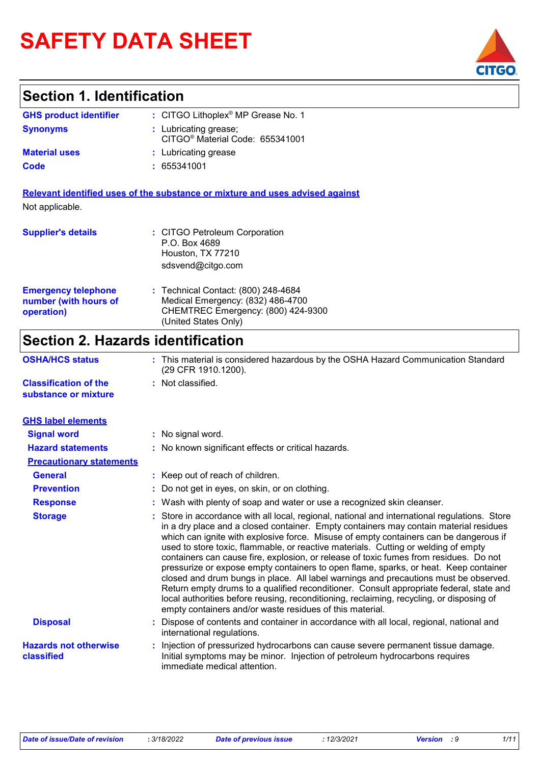# **SAFETY DATA SHEET**

## **Section 1. Identification**

| <b>GHS product identifier</b> | : CITGO Lithoplex <sup>®</sup> MP Grease No. 1                       |
|-------------------------------|----------------------------------------------------------------------|
| <b>Synonyms</b>               | : Lubricating grease;<br>CITGO <sup>®</sup> Material Code: 655341001 |
| <b>Material uses</b>          | : Lubricating grease                                                 |
| Code                          | : 655341001                                                          |

**Relevant identified uses of the substance or mixture and uses advised against** Not applicable.

| <b>Supplier's details</b>                                         | : CITGO Petroleum Corporation<br>P.O. Box 4689<br>Houston, TX 77210<br>sdsvend@citgo.com                                               |
|-------------------------------------------------------------------|----------------------------------------------------------------------------------------------------------------------------------------|
| <b>Emergency telephone</b><br>number (with hours of<br>operation) | : Technical Contact: (800) 248-4684<br>Medical Emergency: (832) 486-4700<br>CHEMTREC Emergency: (800) 424-9300<br>(United States Only) |

## **Section 2. Hazards identification**

| <b>OSHA/HCS status</b>                               | : This material is considered hazardous by the OSHA Hazard Communication Standard<br>(29 CFR 1910.1200).                                                                                                                                                                                                                                                                                                                                                                                                                                                                                                                                                                                                                                                                                                                                                                                          |
|------------------------------------------------------|---------------------------------------------------------------------------------------------------------------------------------------------------------------------------------------------------------------------------------------------------------------------------------------------------------------------------------------------------------------------------------------------------------------------------------------------------------------------------------------------------------------------------------------------------------------------------------------------------------------------------------------------------------------------------------------------------------------------------------------------------------------------------------------------------------------------------------------------------------------------------------------------------|
| <b>Classification of the</b><br>substance or mixture | : Not classified.                                                                                                                                                                                                                                                                                                                                                                                                                                                                                                                                                                                                                                                                                                                                                                                                                                                                                 |
| <b>GHS label elements</b>                            |                                                                                                                                                                                                                                                                                                                                                                                                                                                                                                                                                                                                                                                                                                                                                                                                                                                                                                   |
| <b>Signal word</b>                                   | : No signal word.                                                                                                                                                                                                                                                                                                                                                                                                                                                                                                                                                                                                                                                                                                                                                                                                                                                                                 |
| <b>Hazard statements</b>                             | : No known significant effects or critical hazards.                                                                                                                                                                                                                                                                                                                                                                                                                                                                                                                                                                                                                                                                                                                                                                                                                                               |
| <b>Precautionary statements</b>                      |                                                                                                                                                                                                                                                                                                                                                                                                                                                                                                                                                                                                                                                                                                                                                                                                                                                                                                   |
| <b>General</b>                                       | : Keep out of reach of children.                                                                                                                                                                                                                                                                                                                                                                                                                                                                                                                                                                                                                                                                                                                                                                                                                                                                  |
| <b>Prevention</b>                                    | : Do not get in eyes, on skin, or on clothing.                                                                                                                                                                                                                                                                                                                                                                                                                                                                                                                                                                                                                                                                                                                                                                                                                                                    |
| <b>Response</b>                                      | : Wash with plenty of soap and water or use a recognized skin cleanser.                                                                                                                                                                                                                                                                                                                                                                                                                                                                                                                                                                                                                                                                                                                                                                                                                           |
| <b>Storage</b>                                       | : Store in accordance with all local, regional, national and international regulations. Store<br>in a dry place and a closed container. Empty containers may contain material residues<br>which can ignite with explosive force. Misuse of empty containers can be dangerous if<br>used to store toxic, flammable, or reactive materials. Cutting or welding of empty<br>containers can cause fire, explosion, or release of toxic fumes from residues. Do not<br>pressurize or expose empty containers to open flame, sparks, or heat. Keep container<br>closed and drum bungs in place. All label warnings and precautions must be observed.<br>Return empty drums to a qualified reconditioner. Consult appropriate federal, state and<br>local authorities before reusing, reconditioning, reclaiming, recycling, or disposing of<br>empty containers and/or waste residues of this material. |
| <b>Disposal</b>                                      | : Dispose of contents and container in accordance with all local, regional, national and<br>international regulations.                                                                                                                                                                                                                                                                                                                                                                                                                                                                                                                                                                                                                                                                                                                                                                            |
| <b>Hazards not otherwise</b><br>classified           | Injection of pressurized hydrocarbons can cause severe permanent tissue damage.<br>Initial symptoms may be minor. Injection of petroleum hydrocarbons requires<br>immediate medical attention.                                                                                                                                                                                                                                                                                                                                                                                                                                                                                                                                                                                                                                                                                                    |

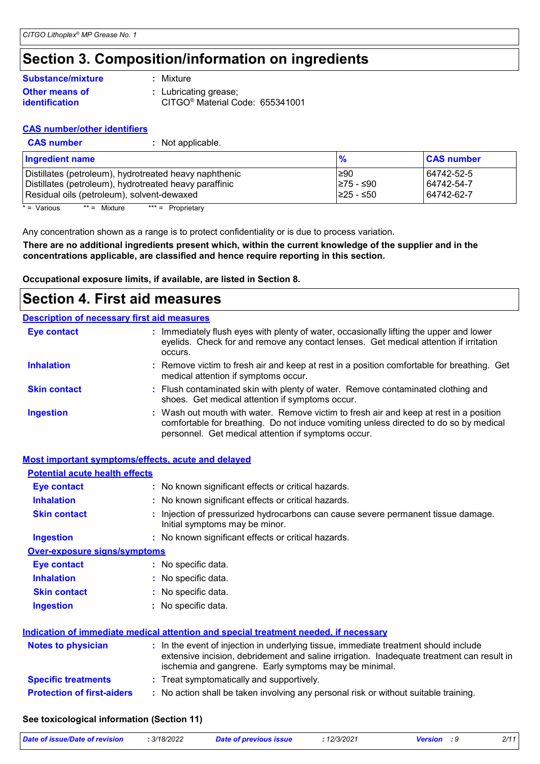## **Section 3. Composition/information on ingredients**

### **Other means of identification Substance/mixture**

**:** Mixture

**:** Lubricating grease;

CITGO® Material Code: 655341001

### **CAS number/other identifiers**

**CAS number :** Not applicable.

| <b>Ingredient name</b>                                 |            | <b>CAS number</b> |
|--------------------------------------------------------|------------|-------------------|
| Distillates (petroleum), hydrotreated heavy naphthenic | l≥90       | 64742-52-5        |
| Distillates (petroleum), hydrotreated heavy paraffinic | I≥75 - ≤90 | 64742-54-7        |
| Residual oils (petroleum), solvent-dewaxed             | 1≥25 - ≤50 | 64742-62-7        |

 $* = \text{Various}$  \*\* = Mixture \*\*\* = Proprietary

Any concentration shown as a range is to protect confidentiality or is due to process variation.

**There are no additional ingredients present which, within the current knowledge of the supplier and in the concentrations applicable, are classified and hence require reporting in this section.**

**Occupational exposure limits, if available, are listed in Section 8.**

### **Section 4. First aid measures**

#### **Description of necessary first aid measures**

| <b>Eye contact</b>  | : Immediately flush eyes with plenty of water, occasionally lifting the upper and lower<br>eyelids. Check for and remove any contact lenses. Get medical attention if irritation<br>occurs.                                            |
|---------------------|----------------------------------------------------------------------------------------------------------------------------------------------------------------------------------------------------------------------------------------|
| <b>Inhalation</b>   | : Remove victim to fresh air and keep at rest in a position comfortable for breathing. Get<br>medical attention if symptoms occur.                                                                                                     |
| <b>Skin contact</b> | : Flush contaminated skin with plenty of water. Remove contaminated clothing and<br>shoes. Get medical attention if symptoms occur.                                                                                                    |
| <b>Ingestion</b>    | : Wash out mouth with water. Remove victim to fresh air and keep at rest in a position<br>comfortable for breathing. Do not induce vomiting unless directed to do so by medical<br>personnel. Get medical attention if symptoms occur. |

#### **Most important symptoms/effects, acute and delayed**

| <b>Potential acute health effects</b> |                                                                                                                                                                                                                                            |
|---------------------------------------|--------------------------------------------------------------------------------------------------------------------------------------------------------------------------------------------------------------------------------------------|
| Eye contact                           | : No known significant effects or critical hazards.                                                                                                                                                                                        |
| <b>Inhalation</b>                     | : No known significant effects or critical hazards.                                                                                                                                                                                        |
| <b>Skin contact</b>                   | : Injection of pressurized hydrocarbons can cause severe permanent tissue damage.<br>Initial symptoms may be minor.                                                                                                                        |
| <b>Ingestion</b>                      | : No known significant effects or critical hazards.                                                                                                                                                                                        |
| <b>Over-exposure signs/symptoms</b>   |                                                                                                                                                                                                                                            |
| <b>Eye contact</b>                    | : No specific data.                                                                                                                                                                                                                        |
| <b>Inhalation</b>                     | : No specific data.                                                                                                                                                                                                                        |
| <b>Skin contact</b>                   | : No specific data.                                                                                                                                                                                                                        |
| <b>Ingestion</b>                      | : No specific data.                                                                                                                                                                                                                        |
|                                       | <u>Indication of immediate medical attention and special treatment needed, if necessary</u>                                                                                                                                                |
| <b>Notes to physician</b>             | : In the event of injection in underlying tissue, immediate treatment should include<br>extensive incision, debridement and saline irrigation. Inadequate treatment can result in<br>ischemia and gangrene. Early symptoms may be minimal. |
| <b>Specific treatments</b>            | : Treat symptomatically and supportively.                                                                                                                                                                                                  |
| <b>Protection of first-aiders</b>     | : No action shall be taken involving any personal risk or without suitable training.                                                                                                                                                       |

### **See toxicological information (Section 11)**

| Date of issue/Date of revision | 3/18/2022 | Date of previous issue | 12/3/2021 | <b>Version</b> | 2/1' |
|--------------------------------|-----------|------------------------|-----------|----------------|------|
|                                |           |                        |           |                |      |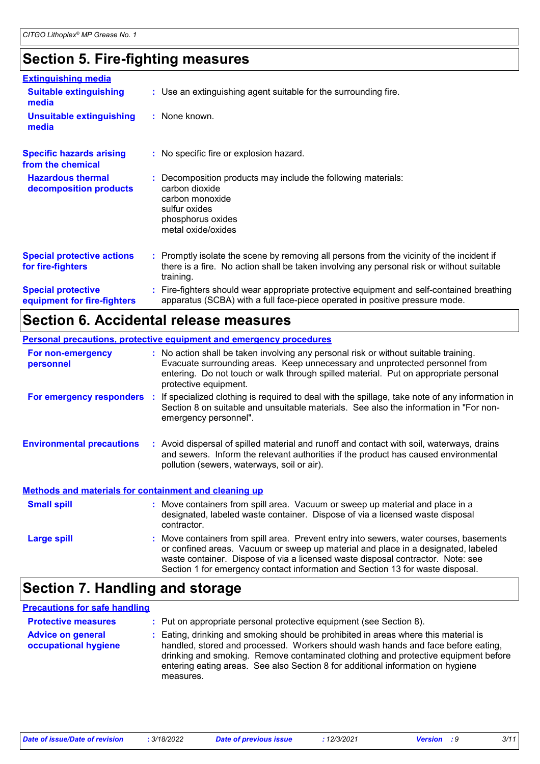## **Section 5. Fire-fighting measures**

| <b>Extinguishing media</b>                               |                                                                                                                                                                                                     |
|----------------------------------------------------------|-----------------------------------------------------------------------------------------------------------------------------------------------------------------------------------------------------|
| <b>Suitable extinguishing</b><br>media                   | : Use an extinguishing agent suitable for the surrounding fire.                                                                                                                                     |
| <b>Unsuitable extinguishing</b><br>media                 | $:$ None known.                                                                                                                                                                                     |
| <b>Specific hazards arising</b><br>from the chemical     | : No specific fire or explosion hazard.                                                                                                                                                             |
| <b>Hazardous thermal</b><br>decomposition products       | Decomposition products may include the following materials:<br>carbon dioxide<br>carbon monoxide<br>sulfur oxides<br>phosphorus oxides<br>metal oxide/oxides                                        |
| <b>Special protective actions</b><br>for fire-fighters   | : Promptly isolate the scene by removing all persons from the vicinity of the incident if<br>there is a fire. No action shall be taken involving any personal risk or without suitable<br>training. |
| <b>Special protective</b><br>equipment for fire-fighters | Fire-fighters should wear appropriate protective equipment and self-contained breathing<br>apparatus (SCBA) with a full face-piece operated in positive pressure mode.                              |

### **Section 6. Accidental release measures**

|                                                              | <b>Personal precautions, protective equipment and emergency procedures</b>                                                                                                                                                                                                                                                                       |
|--------------------------------------------------------------|--------------------------------------------------------------------------------------------------------------------------------------------------------------------------------------------------------------------------------------------------------------------------------------------------------------------------------------------------|
| For non-emergency<br>personnel                               | : No action shall be taken involving any personal risk or without suitable training.<br>Evacuate surrounding areas. Keep unnecessary and unprotected personnel from<br>entering. Do not touch or walk through spilled material. Put on appropriate personal<br>protective equipment.                                                             |
|                                                              | For emergency responders : If specialized clothing is required to deal with the spillage, take note of any information in<br>Section 8 on suitable and unsuitable materials. See also the information in "For non-<br>emergency personnel".                                                                                                      |
| <b>Environmental precautions</b>                             | : Avoid dispersal of spilled material and runoff and contact with soil, waterways, drains<br>and sewers. Inform the relevant authorities if the product has caused environmental<br>pollution (sewers, waterways, soil or air).                                                                                                                  |
| <b>Methods and materials for containment and cleaning up</b> |                                                                                                                                                                                                                                                                                                                                                  |
| <b>Small spill</b>                                           | : Move containers from spill area. Vacuum or sweep up material and place in a<br>designated, labeled waste container. Dispose of via a licensed waste disposal<br>contractor.                                                                                                                                                                    |
| <b>Large spill</b>                                           | : Move containers from spill area. Prevent entry into sewers, water courses, basements<br>or confined areas. Vacuum or sweep up material and place in a designated, labeled<br>waste container. Dispose of via a licensed waste disposal contractor. Note: see<br>Section 1 for emergency contact information and Section 13 for waste disposal. |

## **Section 7. Handling and storage**

#### **Advice on general occupational hygiene** Eating, drinking and smoking should be prohibited in areas where this material is **:** handled, stored and processed. Workers should wash hands and face before eating, drinking and smoking. Remove contaminated clothing and protective equipment before entering eating areas. See also Section 8 for additional information on hygiene measures. **Protective measures : Put on appropriate personal protective equipment (see Section 8). Precautions for safe handling**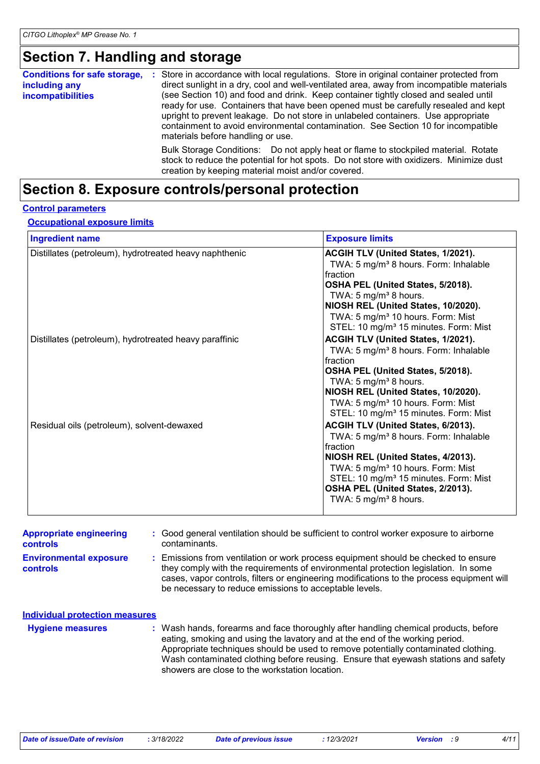## **Section 7. Handling and storage**

| <b>Conditions for safe storage,</b><br>including any<br><i>incompatibilities</i> | Store in accordance with local regulations. Store in original container protected from<br>л.<br>direct sunlight in a dry, cool and well-ventilated area, away from incompatible materials<br>(see Section 10) and food and drink. Keep container tightly closed and sealed until<br>ready for use. Containers that have been opened must be carefully resealed and kept<br>upright to prevent leakage. Do not store in unlabeled containers. Use appropriate<br>containment to avoid environmental contamination. See Section 10 for incompatible<br>materials before handling or use. |
|----------------------------------------------------------------------------------|----------------------------------------------------------------------------------------------------------------------------------------------------------------------------------------------------------------------------------------------------------------------------------------------------------------------------------------------------------------------------------------------------------------------------------------------------------------------------------------------------------------------------------------------------------------------------------------|
|                                                                                  | Bulk Storage Conditions: Do not apply heat or flame to stockpiled material. Rotate<br>stock to reduce the potential for hot spots. Do not store with oxidizers. Minimize dust<br>creation by keeping material moist and/or covered.                                                                                                                                                                                                                                                                                                                                                    |

## **Section 8. Exposure controls/personal protection**

### **Control parameters**

#### **Occupational exposure limits**

| <b>Ingredient name</b>                                 | <b>Exposure limits</b>                                                                                                                                                                                                                                                                                                      |
|--------------------------------------------------------|-----------------------------------------------------------------------------------------------------------------------------------------------------------------------------------------------------------------------------------------------------------------------------------------------------------------------------|
| Distillates (petroleum), hydrotreated heavy naphthenic | ACGIH TLV (United States, 1/2021).<br>TWA: 5 mg/m <sup>3</sup> 8 hours. Form: Inhalable<br>Ifraction<br>OSHA PEL (United States, 5/2018).<br>TWA: 5 mg/m <sup>3</sup> 8 hours.<br>NIOSH REL (United States, 10/2020).<br>TWA: 5 mg/m <sup>3</sup> 10 hours. Form: Mist<br>STEL: 10 mg/m <sup>3</sup> 15 minutes. Form: Mist |
| Distillates (petroleum), hydrotreated heavy paraffinic | ACGIH TLV (United States, 1/2021).<br>TWA: 5 mg/m <sup>3</sup> 8 hours. Form: Inhalable<br>fraction<br>OSHA PEL (United States, 5/2018).<br>TWA: $5 \text{ mg/m}^3$ 8 hours.<br>NIOSH REL (United States, 10/2020).<br>TWA: 5 mg/m <sup>3</sup> 10 hours. Form: Mist<br>STEL: 10 mg/m <sup>3</sup> 15 minutes. Form: Mist   |
| Residual oils (petroleum), solvent-dewaxed             | ACGIH TLV (United States, 6/2013).<br>TWA: 5 mg/m <sup>3</sup> 8 hours. Form: Inhalable<br>fraction<br>NIOSH REL (United States, 4/2013).<br>TWA: 5 mg/m <sup>3</sup> 10 hours. Form: Mist<br>STEL: 10 mg/m <sup>3</sup> 15 minutes. Form: Mist<br>OSHA PEL (United States, 2/2013).<br>TWA: 5 mg/m <sup>3</sup> 8 hours.   |

| <b>Appropriate engineering</b><br><b>controls</b> | : Good general ventilation should be sufficient to control worker exposure to airborne<br>contaminants.                                                                                                                                                                                                                       |
|---------------------------------------------------|-------------------------------------------------------------------------------------------------------------------------------------------------------------------------------------------------------------------------------------------------------------------------------------------------------------------------------|
| <b>Environmental exposure</b><br><b>controls</b>  | Emissions from ventilation or work process equipment should be checked to ensure<br>they comply with the requirements of environmental protection legislation. In some<br>cases, vapor controls, filters or engineering modifications to the process equipment will<br>be necessary to reduce emissions to acceptable levels. |
| <b>Individual protection measures</b>             |                                                                                                                                                                                                                                                                                                                               |
| <b>Hygiene measures</b>                           | : Wash hands, forearms and face thoroughly after handling chemical products, before<br>eating, smoking and using the lavatory and at the end of the working period.<br>Appropriate techniques should be used to remove potentially contaminated clothing.                                                                     |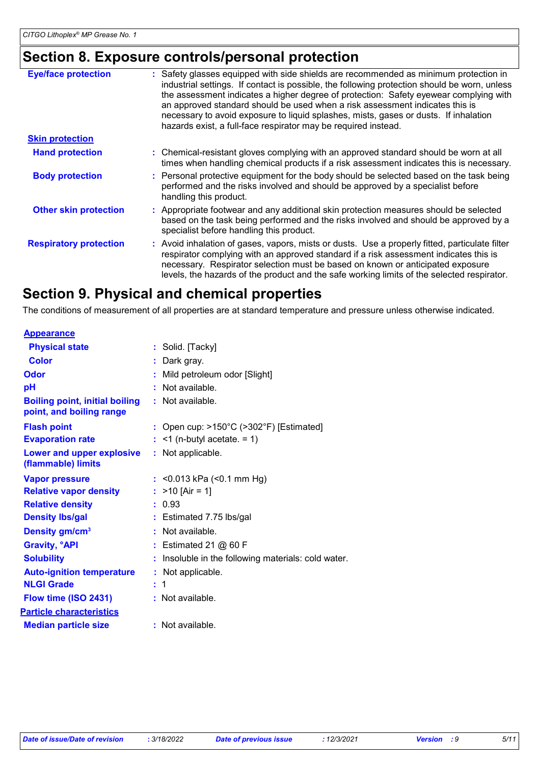## **Section 8. Exposure controls/personal protection**

| <b>Eye/face protection</b>    | : Safety glasses equipped with side shields are recommended as minimum protection in<br>industrial settings. If contact is possible, the following protection should be worn, unless<br>the assessment indicates a higher degree of protection: Safety eyewear complying with<br>an approved standard should be used when a risk assessment indicates this is<br>necessary to avoid exposure to liquid splashes, mists, gases or dusts. If inhalation<br>hazards exist, a full-face respirator may be required instead. |
|-------------------------------|-------------------------------------------------------------------------------------------------------------------------------------------------------------------------------------------------------------------------------------------------------------------------------------------------------------------------------------------------------------------------------------------------------------------------------------------------------------------------------------------------------------------------|
| <b>Skin protection</b>        |                                                                                                                                                                                                                                                                                                                                                                                                                                                                                                                         |
| <b>Hand protection</b>        | : Chemical-resistant gloves complying with an approved standard should be worn at all<br>times when handling chemical products if a risk assessment indicates this is necessary.                                                                                                                                                                                                                                                                                                                                        |
| <b>Body protection</b>        | : Personal protective equipment for the body should be selected based on the task being<br>performed and the risks involved and should be approved by a specialist before<br>handling this product.                                                                                                                                                                                                                                                                                                                     |
| <b>Other skin protection</b>  | : Appropriate footwear and any additional skin protection measures should be selected<br>based on the task being performed and the risks involved and should be approved by a<br>specialist before handling this product.                                                                                                                                                                                                                                                                                               |
| <b>Respiratory protection</b> | : Avoid inhalation of gases, vapors, mists or dusts. Use a properly fitted, particulate filter<br>respirator complying with an approved standard if a risk assessment indicates this is<br>necessary. Respirator selection must be based on known or anticipated exposure<br>levels, the hazards of the product and the safe working limits of the selected respirator.                                                                                                                                                 |
|                               |                                                                                                                                                                                                                                                                                                                                                                                                                                                                                                                         |

### **Section 9. Physical and chemical properties**

The conditions of measurement of all properties are at standard temperature and pressure unless otherwise indicated.

| : Solid. [Tacky]                                             |
|--------------------------------------------------------------|
| : Dark gray.                                                 |
| Mild petroleum odor [Slight]                                 |
| Not available.                                               |
| : Not available.                                             |
| : Open cup: $>150^{\circ}$ C ( $>302^{\circ}$ F) [Estimated] |
| $:$ <1 (n-butyl acetate. = 1)                                |
| : Not applicable.                                            |
| : $<$ 0.013 kPa ( $<$ 0.1 mm Hg)                             |
| : $>10$ [Air = 1]                                            |
| : 0.93                                                       |
| $:$ Estimated 7.75 lbs/gal                                   |
| : Not available.                                             |
| $:$ Estimated 21 $@$ 60 F                                    |
| Insoluble in the following materials: cold water.            |
| : Not applicable.                                            |
| : 1                                                          |
| : Not available.                                             |
|                                                              |
| : Not available.                                             |
|                                                              |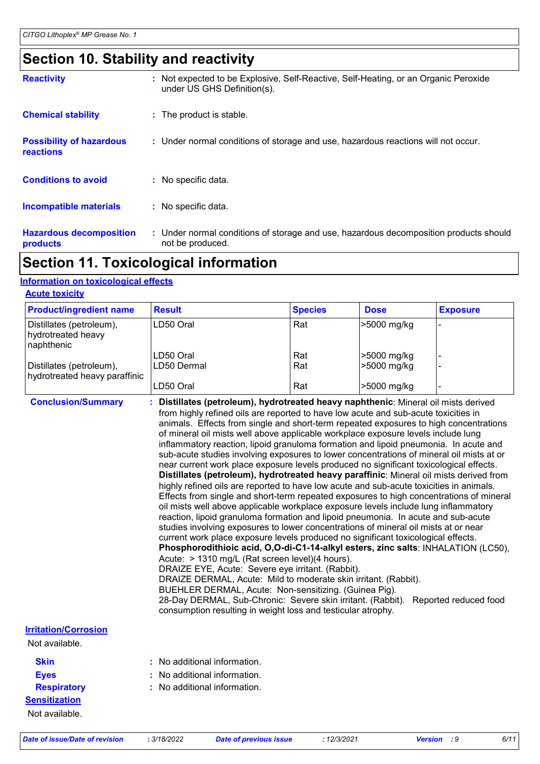## **Section 10. Stability and reactivity**

| <b>Reactivity</b>                                   | : Not expected to be Explosive, Self-Reactive, Self-Heating, or an Organic Peroxide<br>under US GHS Definition(s). |
|-----------------------------------------------------|--------------------------------------------------------------------------------------------------------------------|
| <b>Chemical stability</b>                           | : The product is stable.                                                                                           |
| <b>Possibility of hazardous</b><br><b>reactions</b> | : Under normal conditions of storage and use, hazardous reactions will not occur.                                  |
| <b>Conditions to avoid</b>                          | : No specific data.                                                                                                |
| <b>Incompatible materials</b>                       | : No specific data.                                                                                                |
| <b>Hazardous decomposition</b><br>products          | : Under normal conditions of storage and use, hazardous decomposition products should<br>not be produced.          |

## **Section 11. Toxicological information**

### **Information on toxicological effects**

| <b>Product/ingredient name</b>                               | <b>Result</b>            | <b>Species</b> | <b>Dose</b>                | <b>Exposure</b> |
|--------------------------------------------------------------|--------------------------|----------------|----------------------------|-----------------|
| Distillates (petroleum),<br>hydrotreated heavy<br>naphthenic | LD50 Oral                | Rat            | >5000 mg/kg                |                 |
| Distillates (petroleum),<br>hydrotreated heavy paraffinic    | LD50 Oral<br>LD50 Dermal | Rat<br>Rat     | >5000 mg/kg<br>>5000 mg/kg |                 |
|                                                              | LD50 Oral                | Rat            | >5000 mg/kg                |                 |

| <b>Conclusion/Summary</b>   | : Distillates (petroleum), hydrotreated heavy naphthenic: Mineral oil mists derived<br>from highly refined oils are reported to have low acute and sub-acute toxicities in<br>animals. Effects from single and short-term repeated exposures to high concentrations<br>of mineral oil mists well above applicable workplace exposure levels include lung<br>inflammatory reaction, lipoid granuloma formation and lipoid pneumonia. In acute and<br>sub-acute studies involving exposures to lower concentrations of mineral oil mists at or<br>near current work place exposure levels produced no significant toxicological effects.<br>Distillates (petroleum), hydrotreated heavy paraffinic: Mineral oil mists derived from<br>highly refined oils are reported to have low acute and sub-acute toxicities in animals.<br>Effects from single and short-term repeated exposures to high concentrations of mineral<br>oil mists well above applicable workplace exposure levels include lung inflammatory<br>reaction, lipoid granuloma formation and lipoid pneumonia. In acute and sub-acute<br>studies involving exposures to lower concentrations of mineral oil mists at or near<br>current work place exposure levels produced no significant toxicological effects.<br>Phosphorodithioic acid, O,O-di-C1-14-alkyl esters, zinc salts: INHALATION (LC50),<br>Acute: > 1310 mg/L (Rat screen level)(4 hours).<br>DRAIZE EYE, Acute: Severe eye irritant. (Rabbit).<br>DRAIZE DERMAL, Acute: Mild to moderate skin irritant. (Rabbit).<br>BUEHLER DERMAL, Acute: Non-sensitizing. (Guinea Pig).<br>28-Day DERMAL, Sub-Chronic: Severe skin irritant. (Rabbit). Reported reduced food<br>consumption resulting in weight loss and testicular atrophy. |
|-----------------------------|--------------------------------------------------------------------------------------------------------------------------------------------------------------------------------------------------------------------------------------------------------------------------------------------------------------------------------------------------------------------------------------------------------------------------------------------------------------------------------------------------------------------------------------------------------------------------------------------------------------------------------------------------------------------------------------------------------------------------------------------------------------------------------------------------------------------------------------------------------------------------------------------------------------------------------------------------------------------------------------------------------------------------------------------------------------------------------------------------------------------------------------------------------------------------------------------------------------------------------------------------------------------------------------------------------------------------------------------------------------------------------------------------------------------------------------------------------------------------------------------------------------------------------------------------------------------------------------------------------------------------------------------------------------------------------------------------------------------------------------------------------------|
| <b>Irritation/Corrosion</b> |                                                                                                                                                                                                                                                                                                                                                                                                                                                                                                                                                                                                                                                                                                                                                                                                                                                                                                                                                                                                                                                                                                                                                                                                                                                                                                                                                                                                                                                                                                                                                                                                                                                                                                                                                              |
| Not available.              |                                                                                                                                                                                                                                                                                                                                                                                                                                                                                                                                                                                                                                                                                                                                                                                                                                                                                                                                                                                                                                                                                                                                                                                                                                                                                                                                                                                                                                                                                                                                                                                                                                                                                                                                                              |
| <b>Skin</b>                 | No additional information.                                                                                                                                                                                                                                                                                                                                                                                                                                                                                                                                                                                                                                                                                                                                                                                                                                                                                                                                                                                                                                                                                                                                                                                                                                                                                                                                                                                                                                                                                                                                                                                                                                                                                                                                   |
| <b>Eyes</b>                 | $:$ No additional information.                                                                                                                                                                                                                                                                                                                                                                                                                                                                                                                                                                                                                                                                                                                                                                                                                                                                                                                                                                                                                                                                                                                                                                                                                                                                                                                                                                                                                                                                                                                                                                                                                                                                                                                               |

### **:** No additional information.

**Sensitization** Not available.

**Respiratory**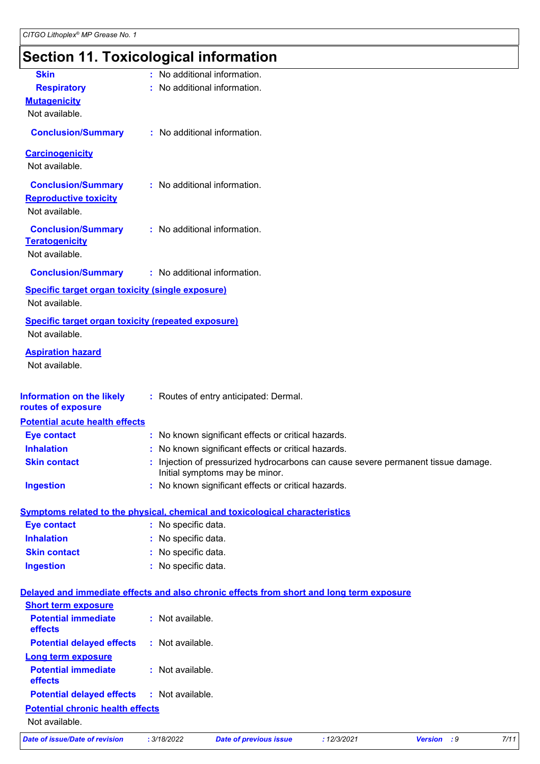## **Section 11. Toxicological information**

| <b>Skin</b>                                                                              | : No additional information. |                                                     |             |                                                                                 |      |
|------------------------------------------------------------------------------------------|------------------------------|-----------------------------------------------------|-------------|---------------------------------------------------------------------------------|------|
| <b>Respiratory</b>                                                                       | : No additional information. |                                                     |             |                                                                                 |      |
| <b>Mutagenicity</b>                                                                      |                              |                                                     |             |                                                                                 |      |
| Not available.                                                                           |                              |                                                     |             |                                                                                 |      |
| <b>Conclusion/Summary</b>                                                                | : No additional information. |                                                     |             |                                                                                 |      |
| <b>Carcinogenicity</b><br>Not available.                                                 |                              |                                                     |             |                                                                                 |      |
|                                                                                          |                              |                                                     |             |                                                                                 |      |
| <b>Conclusion/Summary</b><br><b>Reproductive toxicity</b><br>Not available.              | : No additional information. |                                                     |             |                                                                                 |      |
| <b>Conclusion/Summary</b><br><b>Teratogenicity</b><br>Not available.                     | : No additional information. |                                                     |             |                                                                                 |      |
| <b>Conclusion/Summary</b>                                                                | : No additional information. |                                                     |             |                                                                                 |      |
| Specific target organ toxicity (single exposure)<br>Not available.                       |                              |                                                     |             |                                                                                 |      |
| <b>Specific target organ toxicity (repeated exposure)</b><br>Not available.              |                              |                                                     |             |                                                                                 |      |
| <b>Aspiration hazard</b><br>Not available.                                               |                              |                                                     |             |                                                                                 |      |
|                                                                                          |                              |                                                     |             |                                                                                 |      |
| <b>Information on the likely</b><br>routes of exposure                                   |                              | : Routes of entry anticipated: Dermal.              |             |                                                                                 |      |
| <b>Potential acute health effects</b>                                                    |                              |                                                     |             |                                                                                 |      |
| <b>Eye contact</b>                                                                       |                              | : No known significant effects or critical hazards. |             |                                                                                 |      |
| <b>Inhalation</b>                                                                        |                              | No known significant effects or critical hazards.   |             |                                                                                 |      |
| <b>Skin contact</b>                                                                      |                              | Initial symptoms may be minor.                      |             | Injection of pressurized hydrocarbons can cause severe permanent tissue damage. |      |
| <b>Ingestion</b>                                                                         |                              | No known significant effects or critical hazards.   |             |                                                                                 |      |
| <b>Symptoms related to the physical, chemical and toxicological characteristics</b>      |                              |                                                     |             |                                                                                 |      |
| <b>Eye contact</b>                                                                       | : No specific data.          |                                                     |             |                                                                                 |      |
| <b>Inhalation</b>                                                                        | No specific data.            |                                                     |             |                                                                                 |      |
| <b>Skin contact</b>                                                                      | No specific data.            |                                                     |             |                                                                                 |      |
| <b>Ingestion</b>                                                                         | : No specific data.          |                                                     |             |                                                                                 |      |
| Delayed and immediate effects and also chronic effects from short and long term exposure |                              |                                                     |             |                                                                                 |      |
| <b>Short term exposure</b>                                                               |                              |                                                     |             |                                                                                 |      |
| <b>Potential immediate</b><br>effects                                                    | : Not available.             |                                                     |             |                                                                                 |      |
| <b>Potential delayed effects</b>                                                         | : Not available.             |                                                     |             |                                                                                 |      |
| <b>Long term exposure</b>                                                                |                              |                                                     |             |                                                                                 |      |
| <b>Potential immediate</b><br>effects                                                    | : Not available.             |                                                     |             |                                                                                 |      |
| <b>Potential delayed effects</b>                                                         | : Not available.             |                                                     |             |                                                                                 |      |
| <b>Potential chronic health effects</b>                                                  |                              |                                                     |             |                                                                                 |      |
| Not available.                                                                           |                              |                                                     |             |                                                                                 |      |
| <b>Date of issue/Date of revision</b>                                                    | : 3/18/2022                  | <b>Date of previous issue</b>                       | : 12/3/2021 | Version : 9                                                                     | 7/11 |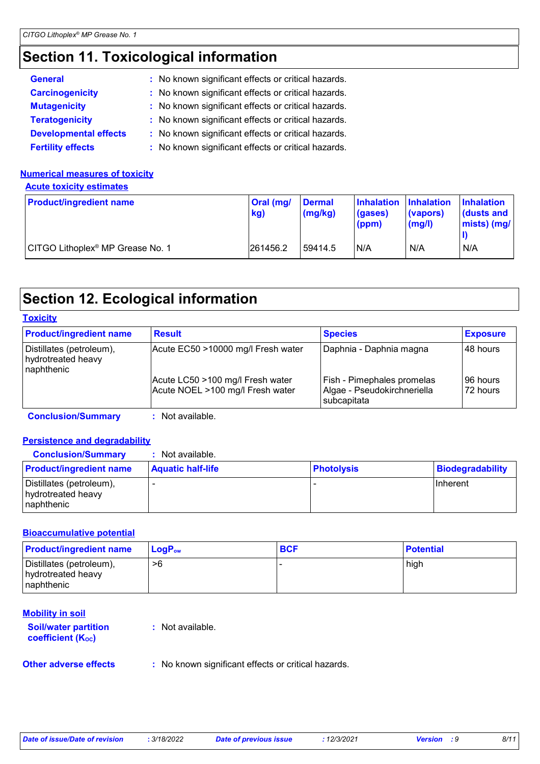## **Section 11. Toxicological information**

| <b>General</b>               | : No known significant effects or critical hazards. |
|------------------------------|-----------------------------------------------------|
| <b>Carcinogenicity</b>       | : No known significant effects or critical hazards. |
| <b>Mutagenicity</b>          | : No known significant effects or critical hazards. |
| <b>Teratogenicity</b>        | : No known significant effects or critical hazards. |
| <b>Developmental effects</b> | : No known significant effects or critical hazards. |
| <b>Fertility effects</b>     | : No known significant effects or critical hazards. |

### **Numerical measures of toxicity**

**Acute toxicity estimates**

| <b>Product/ingredient name</b>               | <b>Oral</b> (mg/<br>kg) | <b>Dermal</b><br>(mg/kg) | Inhalation Inhalation<br>(gases)<br>(ppm) | (vapors)<br>$\mathsf{mgl}()$ | <b>Inhalation</b><br>dusts and<br>$ miss $ (mg/ |
|----------------------------------------------|-------------------------|--------------------------|-------------------------------------------|------------------------------|-------------------------------------------------|
| CITGO Lithoplex <sup>®</sup> MP Grease No. 1 | 261456.2                | 59414.5                  | N/A                                       | N/A                          | N/A                                             |

## **Section 12. Ecological information**

| <b>Product/ingredient name</b>                               | <b>Result</b>                                                        | <b>Species</b>                                                           | <b>Exposure</b>      |
|--------------------------------------------------------------|----------------------------------------------------------------------|--------------------------------------------------------------------------|----------------------|
| Distillates (petroleum),<br>hydrotreated heavy<br>naphthenic | Acute EC50 >10000 mg/l Fresh water                                   | Daphnia - Daphnia magna                                                  | 48 hours             |
|                                                              | Acute LC50 >100 mg/l Fresh water<br>Acute NOEL >100 mg/l Fresh water | Fish - Pimephales promelas<br>Algae - Pseudokirchneriella<br>subcapitata | 96 hours<br>72 hours |

**Conclusion/Summary :** Not available.

### **Persistence and degradability**

| <b>Conclusion/Summary</b>                                     | : Not available.         |                   |                  |
|---------------------------------------------------------------|--------------------------|-------------------|------------------|
| <b>Product/ingredient name</b>                                | <b>Aquatic half-life</b> | <b>Photolysis</b> | Biodegradability |
| Distillates (petroleum),<br>hydrotreated heavy<br>Inaphthenic |                          |                   | <b>Ilnherent</b> |

### **Bioaccumulative potential**

| <b>Product/ingredient name</b>                                | $\mathsf{LogP}_\mathsf{ow}$ | <b>BCF</b> | <b>Potential</b> |
|---------------------------------------------------------------|-----------------------------|------------|------------------|
| Distillates (petroleum),<br>hydrotreated heavy<br>Inaphthenic | >6                          |            | high             |

### **Mobility in soil**

| <b>Soil/water partition</b><br>coefficient $(K_{oc})$ | : Not available. |
|-------------------------------------------------------|------------------|
|                                                       |                  |

### **Other adverse effects** : No known significant effects or critical hazards.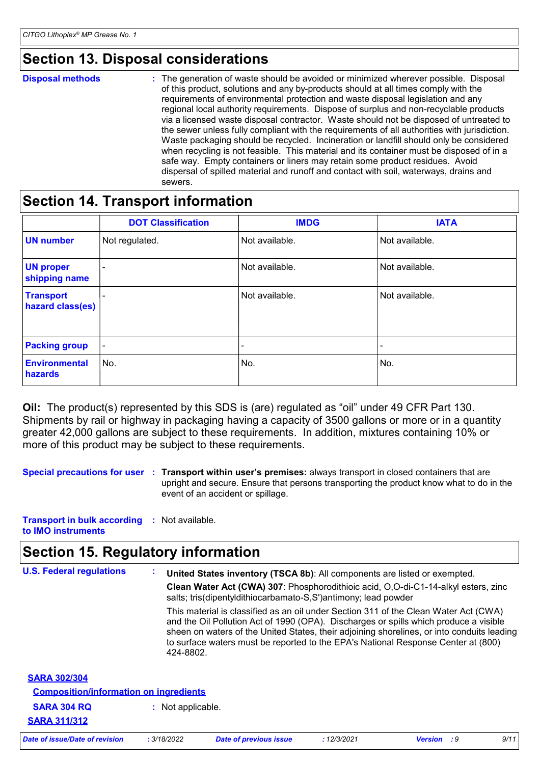## **Section 13. Disposal considerations**

**Disposal methods :**

The generation of waste should be avoided or minimized wherever possible. Disposal of this product, solutions and any by-products should at all times comply with the requirements of environmental protection and waste disposal legislation and any regional local authority requirements. Dispose of surplus and non-recyclable products via a licensed waste disposal contractor. Waste should not be disposed of untreated to the sewer unless fully compliant with the requirements of all authorities with jurisdiction. Waste packaging should be recycled. Incineration or landfill should only be considered when recycling is not feasible. This material and its container must be disposed of in a safe way. Empty containers or liners may retain some product residues. Avoid dispersal of spilled material and runoff and contact with soil, waterways, drains and sewers.

### **Section 14. Transport information**

|                                      | <b>DOT Classification</b> | <b>IMDG</b>    | <b>IATA</b>    |
|--------------------------------------|---------------------------|----------------|----------------|
| <b>UN number</b>                     | Not regulated.            | Not available. | Not available. |
| <b>UN proper</b><br>shipping name    | $\overline{\phantom{0}}$  | Not available. | Not available. |
| <b>Transport</b><br>hazard class(es) | $\overline{\phantom{0}}$  | Not available. | Not available. |
| <b>Packing group</b>                 | $\overline{\phantom{a}}$  |                |                |
| <b>Environmental</b><br>hazards      | l No.                     | No.            | No.            |

**Oil:** The product(s) represented by this SDS is (are) regulated as "oil" under 49 CFR Part 130. Shipments by rail or highway in packaging having a capacity of 3500 gallons or more or in a quantity greater 42,000 gallons are subject to these requirements. In addition, mixtures containing 10% or more of this product may be subject to these requirements.

**Special precautions for user Transport within user's premises:** always transport in closed containers that are **:** upright and secure. Ensure that persons transporting the product know what to do in the event of an accident or spillage.

**Transport in bulk according :** Not available. **to IMO instruments**

## **Section 15. Regulatory information**

| <b>U.S. Federal regulations</b>               | United States inventory (TSCA 8b): All components are listed or exempted.<br>$\sim$<br>Clean Water Act (CWA) 307: Phosphorodithioic acid, O,O-di-C1-14-alkyl esters, zinc<br>salts; tris(dipentyldithiocarbamato-S,S')antimony; lead powder                                                                                                                                   |  |  |
|-----------------------------------------------|-------------------------------------------------------------------------------------------------------------------------------------------------------------------------------------------------------------------------------------------------------------------------------------------------------------------------------------------------------------------------------|--|--|
|                                               | This material is classified as an oil under Section 311 of the Clean Water Act (CWA)<br>and the Oil Pollution Act of 1990 (OPA). Discharges or spills which produce a visible<br>sheen on waters of the United States, their adjoining shorelines, or into conduits leading<br>to surface waters must be reported to the EPA's National Response Center at (800)<br>424-8802. |  |  |
| <b>SARA 302/304</b>                           |                                                                                                                                                                                                                                                                                                                                                                               |  |  |
| <b>Composition/information on ingredients</b> |                                                                                                                                                                                                                                                                                                                                                                               |  |  |
| <b>SARA 304 RQ</b>                            | : Not applicable.                                                                                                                                                                                                                                                                                                                                                             |  |  |
| <b>SARA 311/312</b>                           |                                                                                                                                                                                                                                                                                                                                                                               |  |  |

*Date of issue/Date of revision* **:** *3/18/2022 Date of previous issue : 12/3/2021 Version : 9 9/11*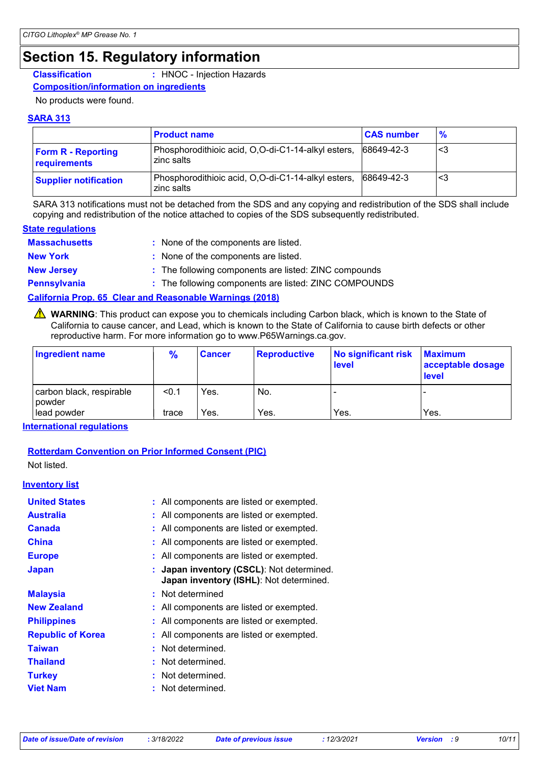## **Section 15. Regulatory information**

**Classification :** HNOC - Injection Hazards

#### **Composition/information on ingredients**

No products were found.

### **SARA 313**

|                                           | <b>Product name</b>                                              | <b>CAS number</b> | $\frac{9}{6}$ |
|-------------------------------------------|------------------------------------------------------------------|-------------------|---------------|
| <b>Form R - Reporting</b><br>requirements | Phosphorodithioic acid, O,O-di-C1-14-alkyl esters,<br>zinc salts | 68649-42-3        | '<3           |
| <b>Supplier notification</b>              | Phosphorodithioic acid, O,O-di-C1-14-alkyl esters,<br>zinc salts | 68649-42-3        | '<3           |

SARA 313 notifications must not be detached from the SDS and any copying and redistribution of the SDS shall include copying and redistribution of the notice attached to copies of the SDS subsequently redistributed.

#### **State regulations**

| <b>Massachusetts</b> | : None of the components are listed.                            |
|----------------------|-----------------------------------------------------------------|
| <b>New York</b>      | : None of the components are listed.                            |
| <b>New Jersey</b>    | : The following components are listed: ZINC compounds           |
| <b>Pennsylvania</b>  | : The following components are listed: ZINC COMPOUNDS           |
|                      | <b>California Prop. 65 Clear and Reasonable Warnings (2018)</b> |

WARNING: This product can expose you to chemicals including Carbon black, which is known to the State of California to cause cancer, and Lead, which is known to the State of California to cause birth defects or other reproductive harm. For more information go to www.P65Warnings.ca.gov.

| <b>Ingredient name</b>                    | $\frac{9}{6}$ | <b>Cancer</b> | Reproductive | No significant risk<br><b>level</b> | <b>Maximum</b><br>acceptable dosage<br><b>level</b> |
|-------------------------------------------|---------------|---------------|--------------|-------------------------------------|-----------------------------------------------------|
| carbon black, respirable<br><b>powder</b> | < 0.1         | Yes.          | No.          |                                     |                                                     |
| llead powder                              | trace         | Yes.          | Yes.         | Yes.                                | Yes.                                                |

**International regulations**

### **Rotterdam Convention on Prior Informed Consent (PIC)**

Not listed.

### **Inventory list**

| <b>United States</b>     | : All components are listed or exempted.                                             |
|--------------------------|--------------------------------------------------------------------------------------|
| <b>Australia</b>         | : All components are listed or exempted.                                             |
| <b>Canada</b>            | : All components are listed or exempted.                                             |
| <b>China</b>             | : All components are listed or exempted.                                             |
| <b>Europe</b>            | : All components are listed or exempted.                                             |
| <b>Japan</b>             | : Japan inventory (CSCL): Not determined.<br>Japan inventory (ISHL): Not determined. |
| <b>Malaysia</b>          | : Not determined                                                                     |
| <b>New Zealand</b>       | : All components are listed or exempted.                                             |
| <b>Philippines</b>       | : All components are listed or exempted.                                             |
| <b>Republic of Korea</b> | : All components are listed or exempted.                                             |
| <b>Taiwan</b>            | : Not determined.                                                                    |
| <b>Thailand</b>          | : Not determined.                                                                    |
| <b>Turkey</b>            | : Not determined.                                                                    |
| <b>Viet Nam</b>          | Not determined.                                                                      |